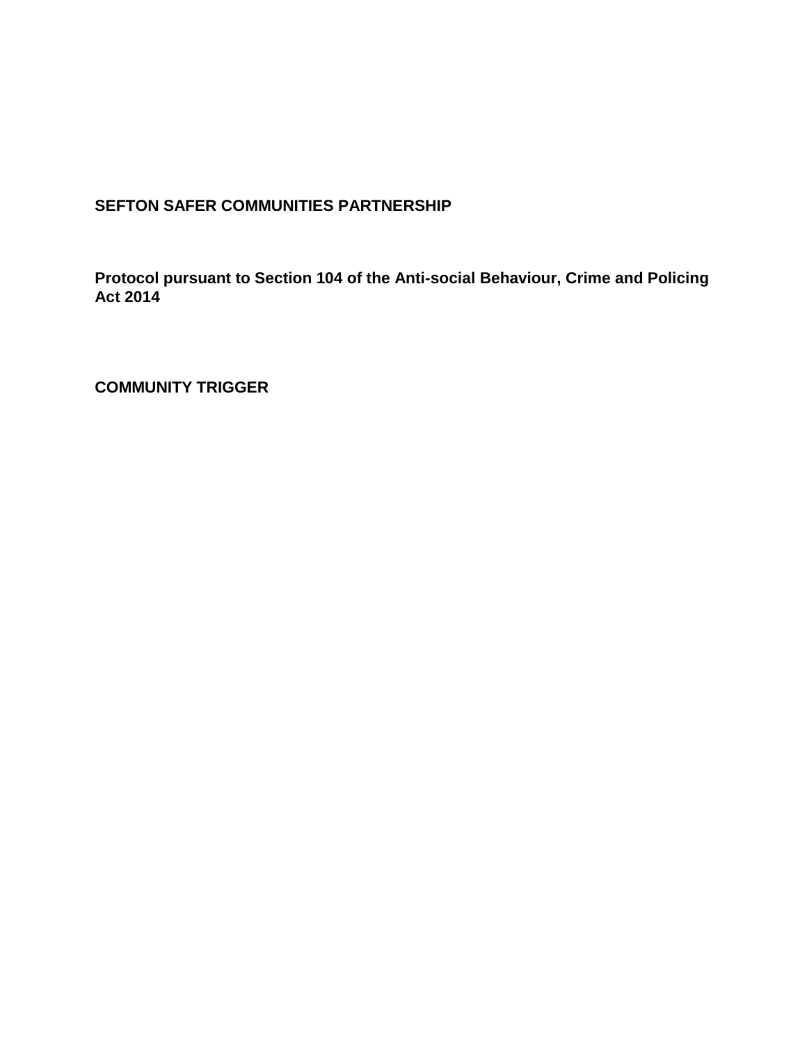# **SEFTON SAFER COMMUNITIES PARTNERSHIP**

**Protocol pursuant to Section 104 of the Anti-social Behaviour, Crime and Policing Act 2014** 

**COMMUNITY TRIGGER**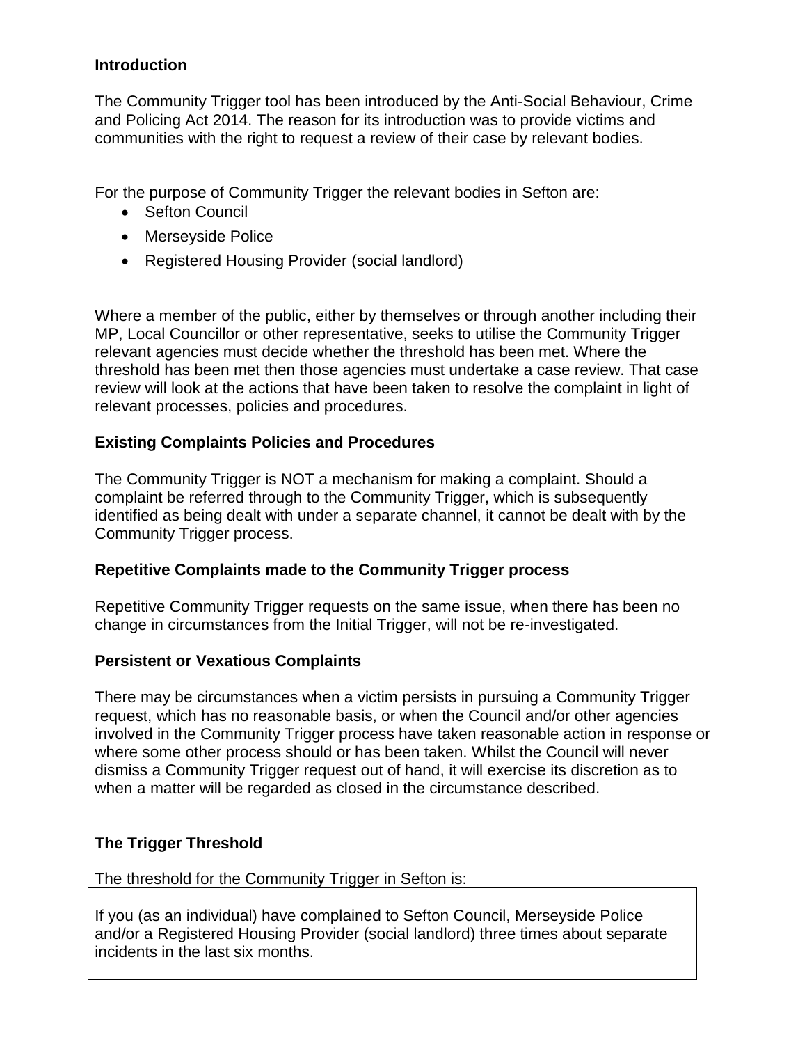### **Introduction**

The Community Trigger tool has been introduced by the Anti-Social Behaviour, Crime and Policing Act 2014. The reason for its introduction was to provide victims and communities with the right to request a review of their case by relevant bodies.

For the purpose of Community Trigger the relevant bodies in Sefton are:

- Sefton Council
- Merseyside Police
- Registered Housing Provider (social landlord)

Where a member of the public, either by themselves or through another including their MP, Local Councillor or other representative, seeks to utilise the Community Trigger relevant agencies must decide whether the threshold has been met. Where the threshold has been met then those agencies must undertake a case review. That case review will look at the actions that have been taken to resolve the complaint in light of relevant processes, policies and procedures.

### **Existing Complaints Policies and Procedures**

The Community Trigger is NOT a mechanism for making a complaint. Should a complaint be referred through to the Community Trigger, which is subsequently identified as being dealt with under a separate channel, it cannot be dealt with by the Community Trigger process.

#### **Repetitive Complaints made to the Community Trigger process**

Repetitive Community Trigger requests on the same issue, when there has been no change in circumstances from the Initial Trigger, will not be re-investigated.

#### **Persistent or Vexatious Complaints**

There may be circumstances when a victim persists in pursuing a Community Trigger request, which has no reasonable basis, or when the Council and/or other agencies involved in the Community Trigger process have taken reasonable action in response or where some other process should or has been taken. Whilst the Council will never dismiss a Community Trigger request out of hand, it will exercise its discretion as to when a matter will be regarded as closed in the circumstance described.

## **The Trigger Threshold**

#### The threshold for the Community Trigger in Sefton is:

If you (as an individual) have complained to Sefton Council, Merseyside Police and/or a Registered Housing Provider (social landlord) three times about separate incidents in the last six months.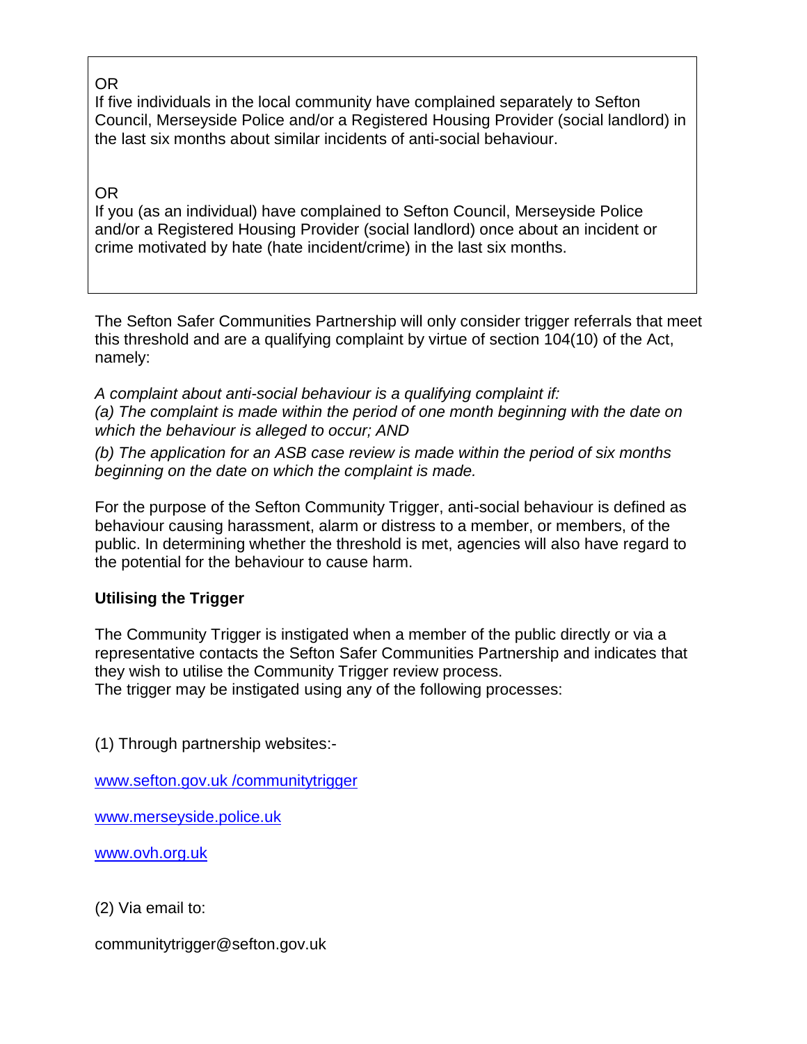# OR

If five individuals in the local community have complained separately to Sefton Council, Merseyside Police and/or a Registered Housing Provider (social landlord) in the last six months about similar incidents of anti-social behaviour.

## OR

If you (as an individual) have complained to Sefton Council, Merseyside Police and/or a Registered Housing Provider (social landlord) once about an incident or crime motivated by hate (hate incident/crime) in the last six months.

The Sefton Safer Communities Partnership will only consider trigger referrals that meet this threshold and are a qualifying complaint by virtue of section 104(10) of the Act, namely:

*A complaint about anti-social behaviour is a qualifying complaint if: (a) The complaint is made within the period of one month beginning with the date on which the behaviour is alleged to occur; AND* 

*(b) The application for an ASB case review is made within the period of six months beginning on the date on which the complaint is made.* 

For the purpose of the Sefton Community Trigger, anti-social behaviour is defined as behaviour causing harassment, alarm or distress to a member, or members, of the public. In determining whether the threshold is met, agencies will also have regard to the potential for the behaviour to cause harm.

## **Utilising the Trigger**

The Community Trigger is instigated when a member of the public directly or via a representative contacts the Sefton Safer Communities Partnership and indicates that they wish to utilise the Community Trigger review process.

The trigger may be instigated using any of the following processes:

(1) Through partnership websites:-

[www.sefton.gov.uk /communitytrigger](file:///C:/Users/evansi/AppData/Local/Microsoft/Windows/Temporary%20Internet%20Files/Content.Outlook/7G13DX7F/www.sefton.gov.uk%20/communitytrigger)

[www.merseyside.police.uk](http://www.merseyside.police.uk/)

[www.ovh.org.uk](file:///C:/Users/evansi/AppData/Local/Microsoft/Windows/Temporary%20Internet%20Files/Content.Outlook/7G13DX7F/www.ovh.org.uk)

(2) Via email to:

communitytrigger@sefton.gov.uk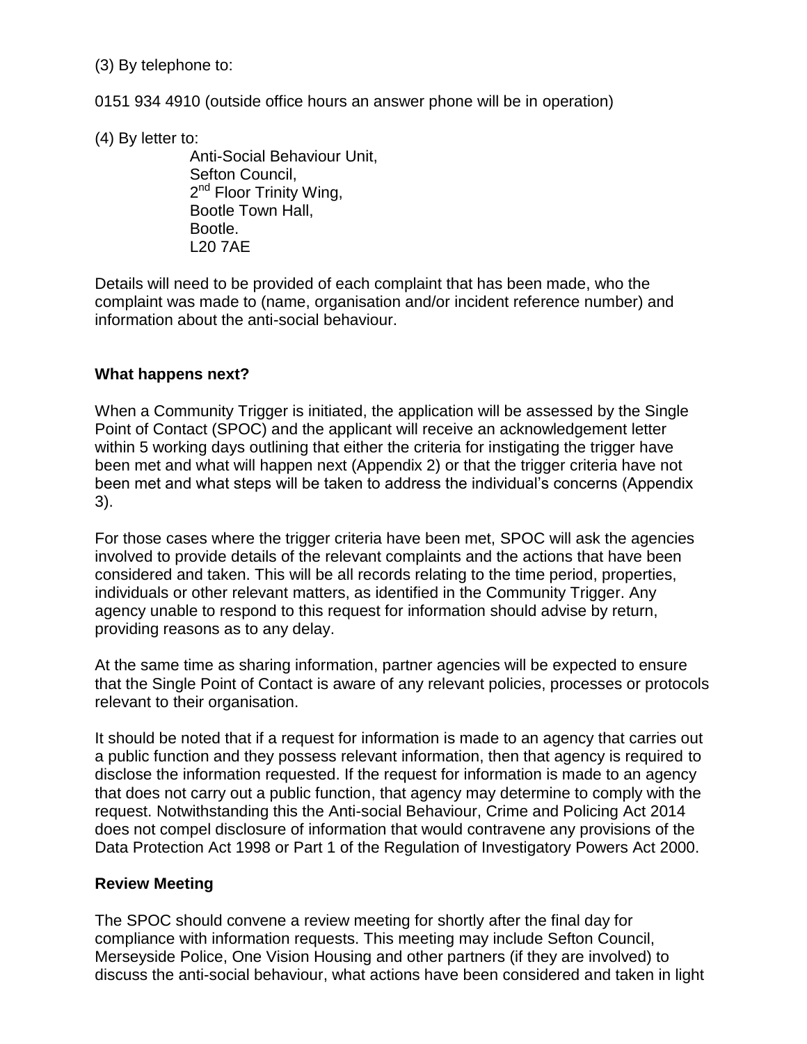(3) By telephone to:

0151 934 4910 (outside office hours an answer phone will be in operation)

(4) By letter to:

Anti-Social Behaviour Unit, Sefton Council, 2<sup>nd</sup> Floor Trinity Wing, Bootle Town Hall, Bootle. L20 7AE

Details will need to be provided of each complaint that has been made, who the complaint was made to (name, organisation and/or incident reference number) and information about the anti-social behaviour.

### **What happens next?**

When a Community Trigger is initiated, the application will be assessed by the Single Point of Contact (SPOC) and the applicant will receive an acknowledgement letter within 5 working days outlining that either the criteria for instigating the trigger have been met and what will happen next (Appendix 2) or that the trigger criteria have not been met and what steps will be taken to address the individual's concerns (Appendix 3).

For those cases where the trigger criteria have been met, SPOC will ask the agencies involved to provide details of the relevant complaints and the actions that have been considered and taken. This will be all records relating to the time period, properties, individuals or other relevant matters, as identified in the Community Trigger. Any agency unable to respond to this request for information should advise by return, providing reasons as to any delay.

At the same time as sharing information, partner agencies will be expected to ensure that the Single Point of Contact is aware of any relevant policies, processes or protocols relevant to their organisation.

It should be noted that if a request for information is made to an agency that carries out a public function and they possess relevant information, then that agency is required to disclose the information requested. If the request for information is made to an agency that does not carry out a public function, that agency may determine to comply with the request. Notwithstanding this the Anti-social Behaviour, Crime and Policing Act 2014 does not compel disclosure of information that would contravene any provisions of the Data Protection Act 1998 or Part 1 of the Regulation of Investigatory Powers Act 2000.

## **Review Meeting**

The SPOC should convene a review meeting for shortly after the final day for compliance with information requests. This meeting may include Sefton Council, Merseyside Police, One Vision Housing and other partners (if they are involved) to discuss the anti-social behaviour, what actions have been considered and taken in light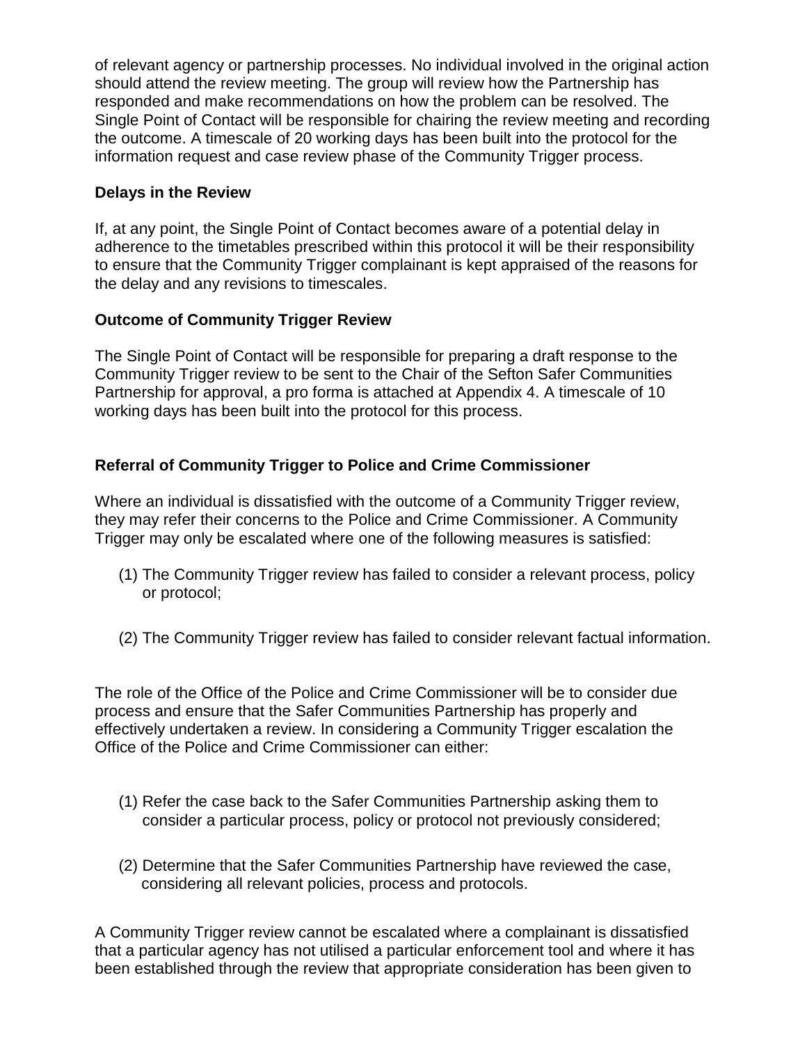of relevant agency or partnership processes. No individual involved in the original action should attend the review meeting. The group will review how the Partnership has responded and make recommendations on how the problem can be resolved. The Single Point of Contact will be responsible for chairing the review meeting and recording the outcome. A timescale of 20 working days has been built into the protocol for the information request and case review phase of the Community Trigger process.

### **Delays in the Review**

If, at any point, the Single Point of Contact becomes aware of a potential delay in adherence to the timetables prescribed within this protocol it will be their responsibility to ensure that the Community Trigger complainant is kept appraised of the reasons for the delay and any revisions to timescales.

## **Outcome of Community Trigger Review**

The Single Point of Contact will be responsible for preparing a draft response to the Community Trigger review to be sent to the Chair of the Sefton Safer Communities Partnership for approval, a pro forma is attached at Appendix 4. A timescale of 10 working days has been built into the protocol for this process.

## **Referral of Community Trigger to Police and Crime Commissioner**

Where an individual is dissatisfied with the outcome of a Community Trigger review, they may refer their concerns to the Police and Crime Commissioner. A Community Trigger may only be escalated where one of the following measures is satisfied:

- (1) The Community Trigger review has failed to consider a relevant process, policy or protocol;
- (2) The Community Trigger review has failed to consider relevant factual information.

The role of the Office of the Police and Crime Commissioner will be to consider due process and ensure that the Safer Communities Partnership has properly and effectively undertaken a review. In considering a Community Trigger escalation the Office of the Police and Crime Commissioner can either:

- (1) Refer the case back to the Safer Communities Partnership asking them to consider a particular process, policy or protocol not previously considered;
- (2) Determine that the Safer Communities Partnership have reviewed the case, considering all relevant policies, process and protocols.

A Community Trigger review cannot be escalated where a complainant is dissatisfied that a particular agency has not utilised a particular enforcement tool and where it has been established through the review that appropriate consideration has been given to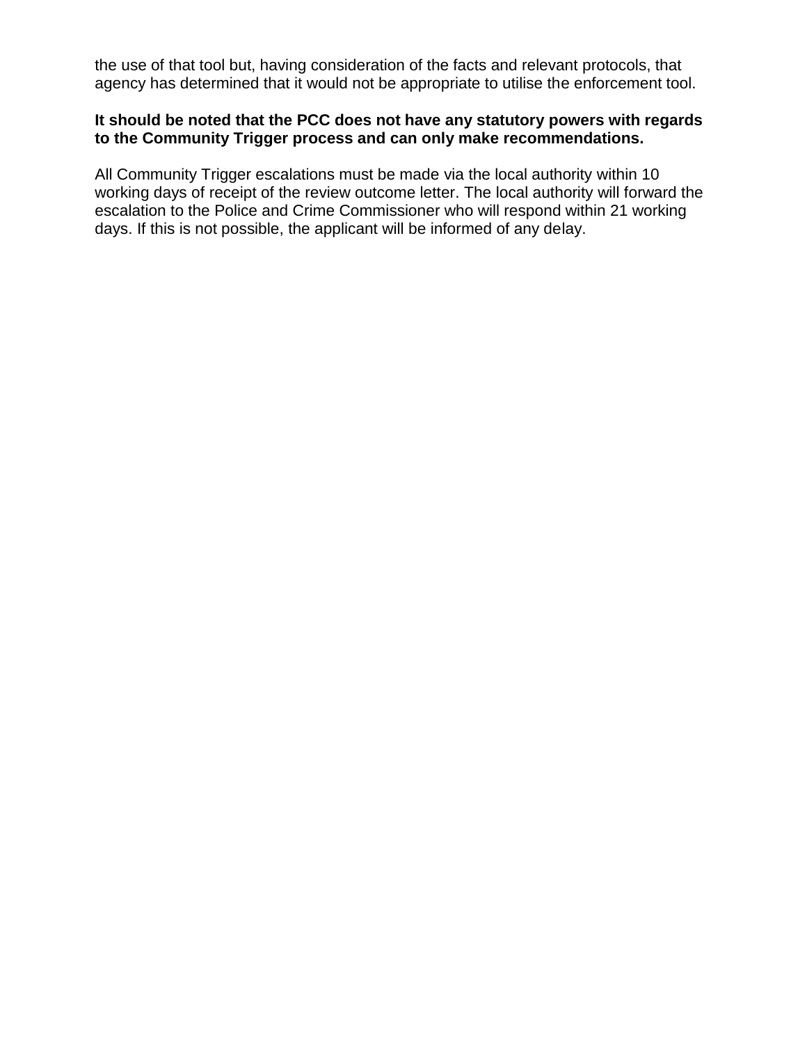the use of that tool but, having consideration of the facts and relevant protocols, that agency has determined that it would not be appropriate to utilise the enforcement tool.

### **It should be noted that the PCC does not have any statutory powers with regards to the Community Trigger process and can only make recommendations.**

All Community Trigger escalations must be made via the local authority within 10 working days of receipt of the review outcome letter. The local authority will forward the escalation to the Police and Crime Commissioner who will respond within 21 working days. If this is not possible, the applicant will be informed of any delay.